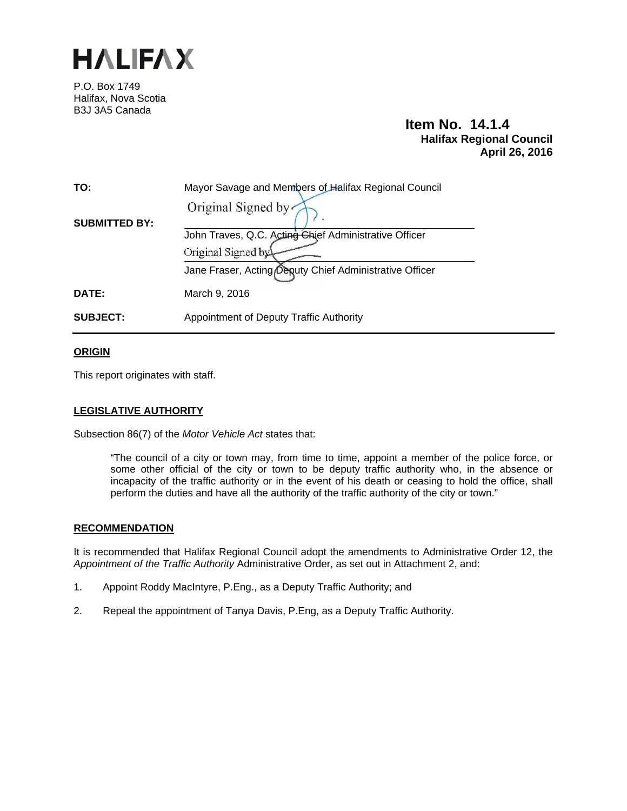

P.O. Box 1749 Halifax, Nova Scotia B3J 3A5 Canada

# **Item No. 14.1.4 Halifax Regional Council April 26, 2016**

| TO:                  | Mayor Savage and Members of Halifax Regional Council    |
|----------------------|---------------------------------------------------------|
|                      | Original Signed by                                      |
| <b>SUBMITTED BY:</b> | John Traves, Q.C. Acting Chief Administrative Officer   |
|                      | Original Signed by                                      |
|                      | Jane Fraser, Acting Deputy Chief Administrative Officer |
| DATE:                | March 9, 2016                                           |
| <b>SUBJECT:</b>      | Appointment of Deputy Traffic Authority                 |

### **ORIGIN**

This report originates with staff.

# **LEGISLATIVE AUTHORITY**

Subsection 86(7) of the *Motor Vehicle Act* states that:

"The council of a city or town may, from time to time, appoint a member of the police force, or some other official of the city or town to be deputy traffic authority who, in the absence or incapacity of the traffic authority or in the event of his death or ceasing to hold the office, shall perform the duties and have all the authority of the traffic authority of the city or town."

#### **RECOMMENDATION**

It is recommended that Halifax Regional Council adopt the amendments to Administrative Order 12, the *Appointment of the Traffic Authority* Administrative Order, as set out in Attachment 2, and:

- 1. Appoint Roddy MacIntyre, P.Eng., as a Deputy Traffic Authority; and
- 2. Repeal the appointment of Tanya Davis, P.Eng, as a Deputy Traffic Authority.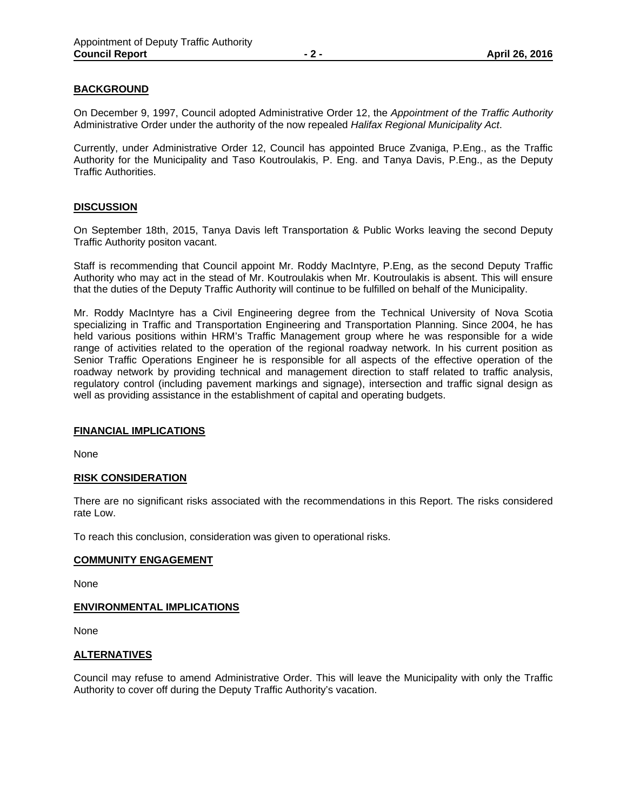# **BACKGROUND**

On December 9, 1997, Council adopted Administrative Order 12, the *Appointment of the Traffic Authority*  Administrative Order under the authority of the now repealed *Halifax Regional Municipality Act*.

Currently, under Administrative Order 12, Council has appointed Bruce Zvaniga, P.Eng., as the Traffic Authority for the Municipality and Taso Koutroulakis, P. Eng. and Tanya Davis, P.Eng., as the Deputy Traffic Authorities.

### **DISCUSSION**

On September 18th, 2015, Tanya Davis left Transportation & Public Works leaving the second Deputy Traffic Authority positon vacant.

Staff is recommending that Council appoint Mr. Roddy MacIntyre, P.Eng, as the second Deputy Traffic Authority who may act in the stead of Mr. Koutroulakis when Mr. Koutroulakis is absent. This will ensure that the duties of the Deputy Traffic Authority will continue to be fulfilled on behalf of the Municipality.

Mr. Roddy MacIntyre has a Civil Engineering degree from the Technical University of Nova Scotia specializing in Traffic and Transportation Engineering and Transportation Planning. Since 2004, he has held various positions within HRM's Traffic Management group where he was responsible for a wide range of activities related to the operation of the regional roadway network. In his current position as Senior Traffic Operations Engineer he is responsible for all aspects of the effective operation of the roadway network by providing technical and management direction to staff related to traffic analysis, regulatory control (including pavement markings and signage), intersection and traffic signal design as well as providing assistance in the establishment of capital and operating budgets.

#### **FINANCIAL IMPLICATIONS**

None

#### **RISK CONSIDERATION**

There are no significant risks associated with the recommendations in this Report. The risks considered rate Low.

To reach this conclusion, consideration was given to operational risks.

#### **COMMUNITY ENGAGEMENT**

None

#### **ENVIRONMENTAL IMPLICATIONS**

None

#### **ALTERNATIVES**

Council may refuse to amend Administrative Order. This will leave the Municipality with only the Traffic Authority to cover off during the Deputy Traffic Authority's vacation.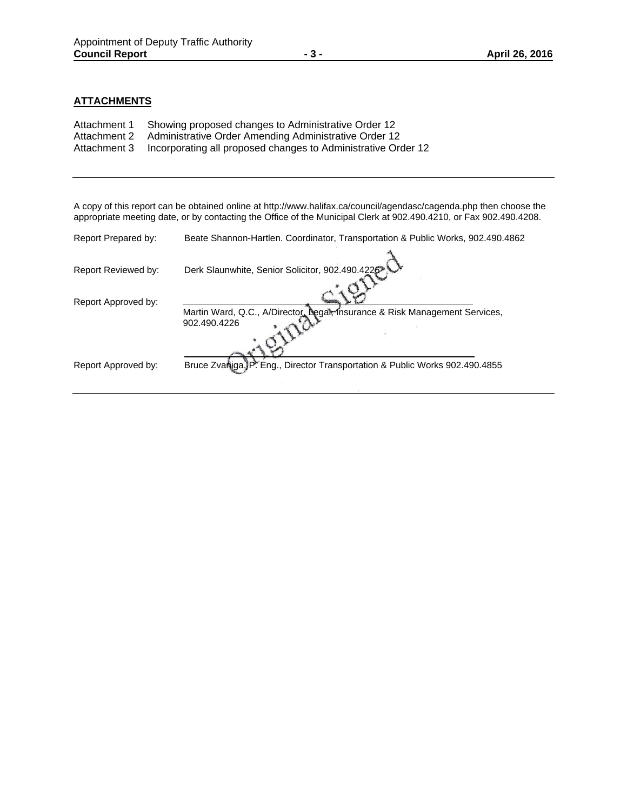# **ATTACHMENTS**

| Attachment 1 | Showing proposed changes to Administrative Order 12           |
|--------------|---------------------------------------------------------------|
| Attachment 2 | Administrative Order Amending Administrative Order 12         |
| Attachment 3 | Incorporating all proposed changes to Administrative Order 12 |

A copy of this report can be obtained online at http://www.halifax.ca/council/agendasc/cagenda.php then choose the appropriate meeting date, or by contacting the Office of the Municipal Clerk at 902.490.4210, or Fax 902.490.4208.

| Report Prepared by: | Beate Shannon-Hartlen. Coordinator, Transportation & Public Works, 902.490.4862 |
|---------------------|---------------------------------------------------------------------------------|
|                     |                                                                                 |
| Report Reviewed by: | Derk Slaunwhite, Senior Solicitor, 902.490.4226                                 |
|                     |                                                                                 |
| Report Approved by: |                                                                                 |
|                     | Martin Ward, Q.C., A/Director, Legal, Insurance & Risk Management Services,     |
|                     | 902.490.4226                                                                    |
|                     |                                                                                 |
|                     |                                                                                 |
|                     |                                                                                 |
| Report Approved by: | Bruce Zvaniga, P. Eng., Director Transportation & Public Works 902.490.4855     |
|                     |                                                                                 |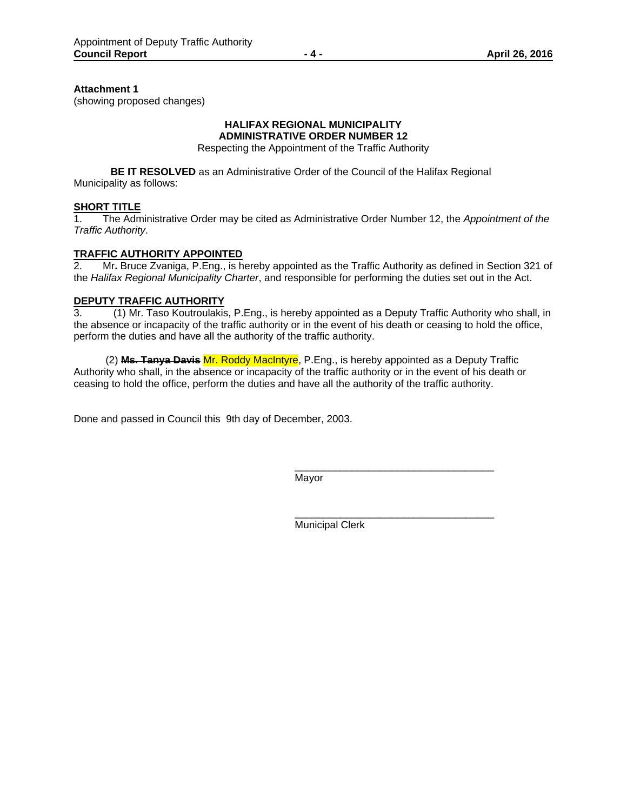#### **Attachment 1**

(showing proposed changes)

#### **HALIFAX REGIONAL MUNICIPALITY ADMINISTRATIVE ORDER NUMBER 12**

Respecting the Appointment of the Traffic Authority

**BE IT RESOLVED** as an Administrative Order of the Council of the Halifax Regional Municipality as follows:

#### **SHORT TITLE**

1. The Administrative Order may be cited as Administrative Order Number 12, the *Appointment of the Traffic Authority*.

# **TRAFFIC AUTHORITY APPOINTED**<br>2. Mr. Bruce Zvaniga, P.Eng., is he

2. Mr**.** Bruce Zvaniga, P.Eng., is hereby appointed as the Traffic Authority as defined in Section 321 of the *Halifax Regional Municipality Charter*, and responsible for performing the duties set out in the Act.

#### **DEPUTY TRAFFIC AUTHORITY**

3. (1) Mr. Taso Koutroulakis, P.Eng., is hereby appointed as a Deputy Traffic Authority who shall, in the absence or incapacity of the traffic authority or in the event of his death or ceasing to hold the office, perform the duties and have all the authority of the traffic authority.

 (2) **Ms. Tanya Davis** Mr. Roddy MacIntyre, P.Eng., is hereby appointed as a Deputy Traffic Authority who shall, in the absence or incapacity of the traffic authority or in the event of his death or ceasing to hold the office, perform the duties and have all the authority of the traffic authority.

Done and passed in Council this 9th day of December, 2003.

Mayor

Municipal Clerk

\_\_\_\_\_\_\_\_\_\_\_\_\_\_\_\_\_\_\_\_\_\_\_\_\_\_\_\_\_\_\_\_\_\_\_

\_\_\_\_\_\_\_\_\_\_\_\_\_\_\_\_\_\_\_\_\_\_\_\_\_\_\_\_\_\_\_\_\_\_\_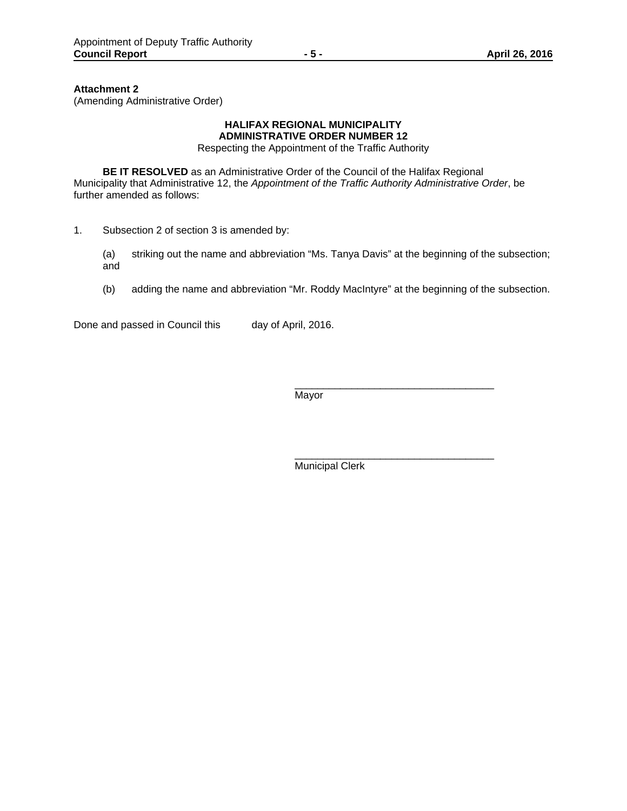**Attachment 2** 

(Amending Administrative Order)

# **HALIFAX REGIONAL MUNICIPALITY ADMINISTRATIVE ORDER NUMBER 12**

Respecting the Appointment of the Traffic Authority

**BE IT RESOLVED** as an Administrative Order of the Council of the Halifax Regional Municipality that Administrative 12, the *Appointment of the Traffic Authority Administrative Order*, be further amended as follows:

- 1. Subsection 2 of section 3 is amended by:
	- (a) striking out the name and abbreviation "Ms. Tanya Davis" at the beginning of the subsection; and
	- (b) adding the name and abbreviation "Mr. Roddy MacIntyre" at the beginning of the subsection.

Done and passed in Council this day of April, 2016.

Mayor

\_\_\_\_\_\_\_\_\_\_\_\_\_\_\_\_\_\_\_\_\_\_\_\_\_\_\_\_\_\_\_\_\_\_\_ Municipal Clerk

\_\_\_\_\_\_\_\_\_\_\_\_\_\_\_\_\_\_\_\_\_\_\_\_\_\_\_\_\_\_\_\_\_\_\_